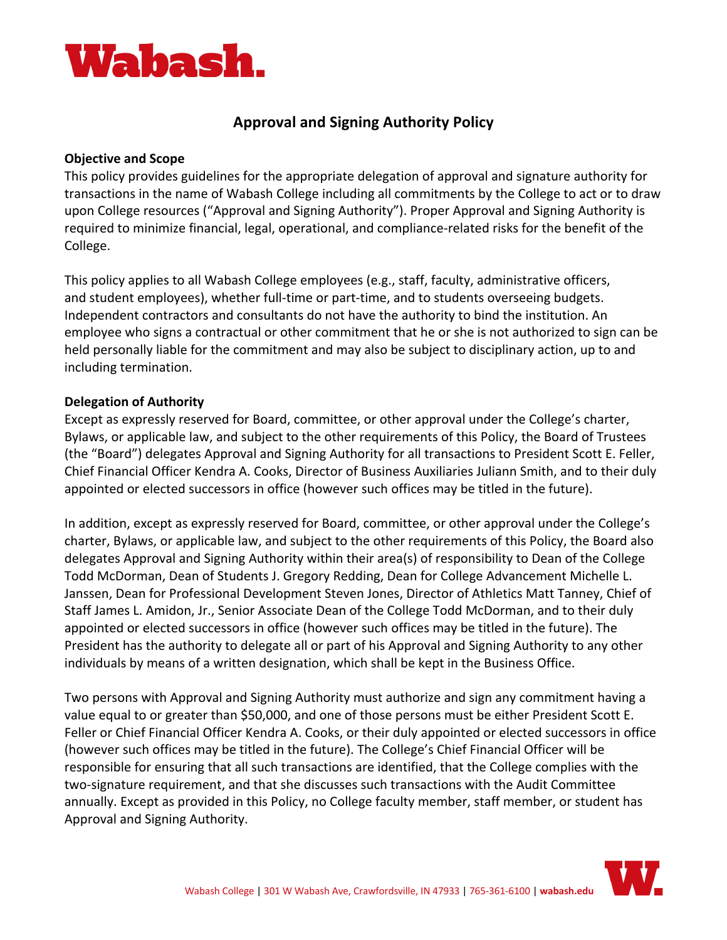

# **Approval and Signing Authority Policy**

#### **Objective and Scope**

This policy provides guidelines for the appropriate delegation of approval and signature authority for transactions in the name of Wabash College including all commitments by the College to act or to draw upon College resources ("Approval and Signing Authority"). Proper Approval and Signing Authority is required to minimize financial, legal, operational, and compliance-related risks for the benefit of the College.

This policy applies to all Wabash College employees (e.g., staff, faculty, administrative officers, and student employees), whether full-time or part-time, and to students overseeing budgets. Independent contractors and consultants do not have the authority to bind the institution. An employee who signs a contractual or other commitment that he or she is not authorized to sign can be held personally liable for the commitment and may also be subject to disciplinary action, up to and including termination.

## **Delegation of Authority**

Except as expressly reserved for Board, committee, or other approval under the College's charter, Bylaws, or applicable law, and subject to the other requirements of this Policy, the Board of Trustees (the "Board") delegates Approval and Signing Authority for all transactions to President Scott E. Feller, Chief Financial Officer Kendra A. Cooks, Director of Business Auxiliaries Juliann Smith, and to their duly appointed or elected successors in office (however such offices may be titled in the future).

In addition, except as expressly reserved for Board, committee, or other approval under the College's charter, Bylaws, or applicable law, and subject to the other requirements of this Policy, the Board also delegates Approval and Signing Authority within their area(s) of responsibility to Dean of the College Todd McDorman, Dean of Students J. Gregory Redding, Dean for College Advancement Michelle L. Janssen, Dean for Professional Development Steven Jones, Director of Athletics Matt Tanney, Chief of Staff James L. Amidon, Jr., Senior Associate Dean of the College Todd McDorman, and to their duly appointed or elected successors in office (however such offices may be titled in the future). The President has the authority to delegate all or part of his Approval and Signing Authority to any other individuals by means of a written designation, which shall be kept in the Business Office.

Two persons with Approval and Signing Authority must authorize and sign any commitment having a value equal to or greater than \$50,000, and one of those persons must be either President Scott E. Feller or Chief Financial Officer Kendra A. Cooks, or their duly appointed or elected successors in office (however such offices may be titled in the future). The College's Chief Financial Officer will be responsible for ensuring that all such transactions are identified, that the College complies with the two-signature requirement, and that she discusses such transactions with the Audit Committee annually. Except as provided in this Policy, no College faculty member, staff member, or student has Approval and Signing Authority.